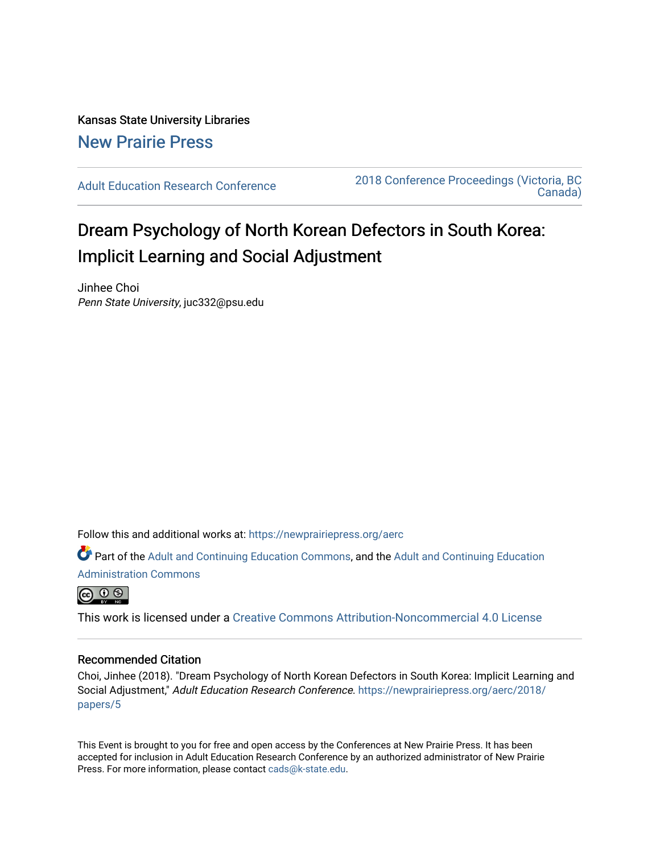Kansas State University Libraries [New Prairie Press](https://newprairiepress.org/) 

[Adult Education Research Conference](https://newprairiepress.org/aerc) [2018 Conference Proceedings \(Victoria, BC](https://newprairiepress.org/aerc/2018)  [Canada\)](https://newprairiepress.org/aerc/2018) 

# Dream Psychology of North Korean Defectors in South Korea: Implicit Learning and Social Adjustment

Jinhee Choi Penn State University, juc332@psu.edu

Follow this and additional works at: [https://newprairiepress.org/aerc](https://newprairiepress.org/aerc?utm_source=newprairiepress.org%2Faerc%2F2018%2Fpapers%2F5&utm_medium=PDF&utm_campaign=PDFCoverPages)

Part of the [Adult and Continuing Education Commons,](http://network.bepress.com/hgg/discipline/1375?utm_source=newprairiepress.org%2Faerc%2F2018%2Fpapers%2F5&utm_medium=PDF&utm_campaign=PDFCoverPages) and the [Adult and Continuing Education](http://network.bepress.com/hgg/discipline/789?utm_source=newprairiepress.org%2Faerc%2F2018%2Fpapers%2F5&utm_medium=PDF&utm_campaign=PDFCoverPages) [Administration Commons](http://network.bepress.com/hgg/discipline/789?utm_source=newprairiepress.org%2Faerc%2F2018%2Fpapers%2F5&utm_medium=PDF&utm_campaign=PDFCoverPages) 



This work is licensed under a [Creative Commons Attribution-Noncommercial 4.0 License](https://creativecommons.org/licenses/by-nc/4.0/)

#### Recommended Citation

Choi, Jinhee (2018). "Dream Psychology of North Korean Defectors in South Korea: Implicit Learning and Social Adjustment," Adult Education Research Conference. [https://newprairiepress.org/aerc/2018/](https://newprairiepress.org/aerc/2018/papers/5) [papers/5](https://newprairiepress.org/aerc/2018/papers/5)

This Event is brought to you for free and open access by the Conferences at New Prairie Press. It has been accepted for inclusion in Adult Education Research Conference by an authorized administrator of New Prairie Press. For more information, please contact [cads@k-state.edu.](mailto:cads@k-state.edu)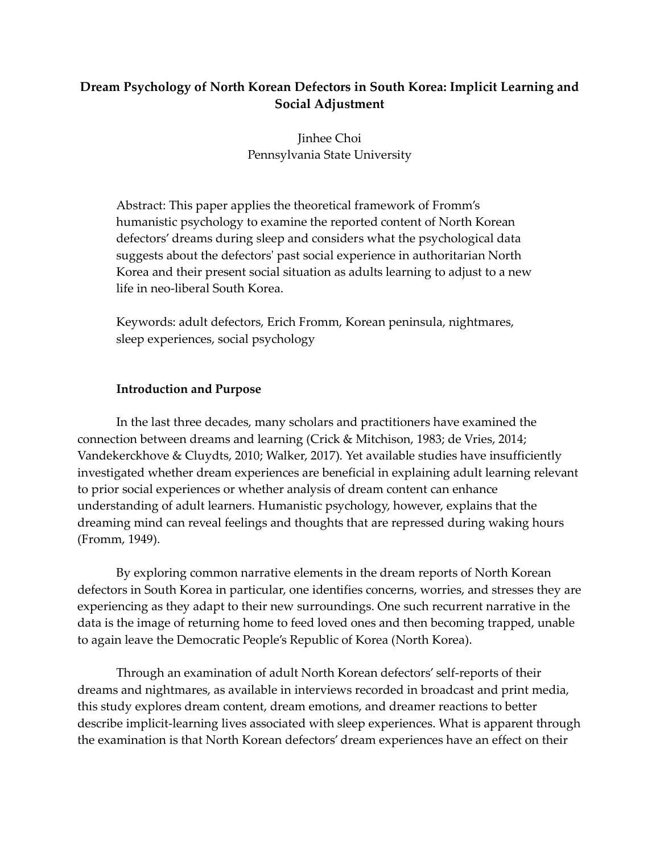# **Dream Psychology of North Korean Defectors in South Korea: Implicit Learning and Social Adjustment**

Jinhee Choi Pennsylvania State University

Abstract: This paper applies the theoretical framework of Fromm's humanistic psychology to examine the reported content of North Korean defectors' dreams during sleep and considers what the psychological data suggests about the defectors' past social experience in authoritarian North Korea and their present social situation as adults learning to adjust to a new life in neo-liberal South Korea.

Keywords: adult defectors, Erich Fromm, Korean peninsula, nightmares, sleep experiences, social psychology

# **Introduction and Purpose**

In the last three decades, many scholars and practitioners have examined the connection between dreams and learning (Crick & Mitchison, 1983; de Vries, 2014; Vandekerckhove & Cluydts, 2010; Walker, 2017). Yet available studies have insufficiently investigated whether dream experiences are beneficial in explaining adult learning relevant to prior social experiences or whether analysis of dream content can enhance understanding of adult learners. Humanistic psychology, however, explains that the dreaming mind can reveal feelings and thoughts that are repressed during waking hours (Fromm, 1949).

By exploring common narrative elements in the dream reports of North Korean defectors in South Korea in particular, one identifies concerns, worries, and stresses they are experiencing as they adapt to their new surroundings. One such recurrent narrative in the data is the image of returning home to feed loved ones and then becoming trapped, unable to again leave the Democratic People's Republic of Korea (North Korea).

Through an examination of adult North Korean defectors' self-reports of their dreams and nightmares, as available in interviews recorded in broadcast and print media, this study explores dream content, dream emotions, and dreamer reactions to better describe implicit-learning lives associated with sleep experiences. What is apparent through the examination is that North Korean defectors' dream experiences have an effect on their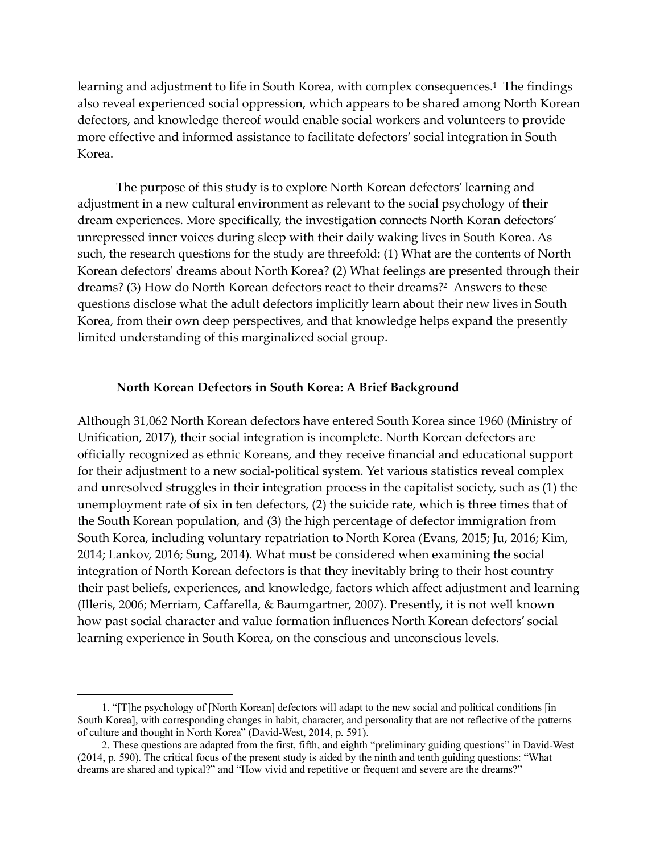learning and adjustment to life in South Korea, with complex consequences.<sup>1</sup> The findings also reveal experienced social oppression, which appears to be shared among North Korean defectors, and knowledge thereof would enable social workers and volunteers to provide more effective and informed assistance to facilitate defectors' social integration in South Korea.

The purpose of this study is to explore North Korean defectors' learning and adjustment in a new cultural environment as relevant to the social psychology of their dream experiences. More specifically, the investigation connects North Koran defectors' unrepressed inner voices during sleep with their daily waking lives in South Korea. As such, the research questions for the study are threefold: (1) What are the contents of North Korean defectors' dreams about North Korea? (2) What feelings are presented through their dreams? (3) How do North Korean defectors react to their dreams?<sup>2</sup> Answers to these questions disclose what the adult defectors implicitly learn about their new lives in South Korea, from their own deep perspectives, and that knowledge helps expand the presently limited understanding of this marginalized social group.

#### **North Korean Defectors in South Korea: A Brief Background**

Although 31,062 North Korean defectors have entered South Korea since 1960 (Ministry of Unification, 2017), their social integration is incomplete. North Korean defectors are officially recognized as ethnic Koreans, and they receive financial and educational support for their adjustment to a new social-political system. Yet various statistics reveal complex and unresolved struggles in their integration process in the capitalist society, such as (1) the unemployment rate of six in ten defectors, (2) the suicide rate, which is three times that of the South Korean population, and (3) the high percentage of defector immigration from South Korea, including voluntary repatriation to North Korea (Evans, 2015; Ju, 2016; Kim, 2014; Lankov, 2016; Sung, 2014). What must be considered when examining the social integration of North Korean defectors is that they inevitably bring to their host country their past beliefs, experiences, and knowledge, factors which affect adjustment and learning (Illeris, 2006; Merriam, Caffarella, & Baumgartner, 2007). Presently, it is not well known how past social character and value formation influences North Korean defectors' social learning experience in South Korea, on the conscious and unconscious levels.

 $\overline{a}$ 

<sup>1. &</sup>quot;[T]he psychology of [North Korean] defectors will adapt to the new social and political conditions [in South Korea], with corresponding changes in habit, character, and personality that are not reflective of the patterns of culture and thought in North Korea" (David-West, 2014, p. 591).

<sup>2.</sup> These questions are adapted from the first, fifth, and eighth "preliminary guiding questions" in David-West (2014, p. 590). The critical focus of the present study is aided by the ninth and tenth guiding questions: "What dreams are shared and typical?" and "How vivid and repetitive or frequent and severe are the dreams?"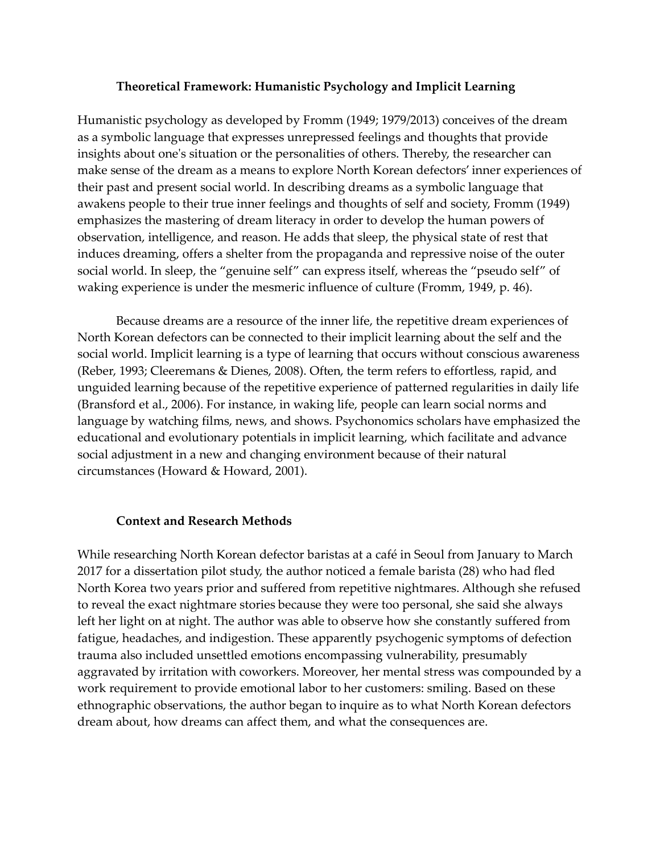## **Theoretical Framework: Humanistic Psychology and Implicit Learning**

Humanistic psychology as developed by Fromm (1949; 1979/2013) conceives of the dream as a symbolic language that expresses unrepressed feelings and thoughts that provide insights about one's situation or the personalities of others. Thereby, the researcher can make sense of the dream as a means to explore North Korean defectors' inner experiences of their past and present social world. In describing dreams as a symbolic language that awakens people to their true inner feelings and thoughts of self and society, Fromm (1949) emphasizes the mastering of dream literacy in order to develop the human powers of observation, intelligence, and reason. He adds that sleep, the physical state of rest that induces dreaming, offers a shelter from the propaganda and repressive noise of the outer social world. In sleep, the "genuine self" can express itself, whereas the "pseudo self" of waking experience is under the mesmeric influence of culture (Fromm, 1949, p. 46).

Because dreams are a resource of the inner life, the repetitive dream experiences of North Korean defectors can be connected to their implicit learning about the self and the social world. Implicit learning is a type of learning that occurs without conscious awareness (Reber, 1993; Cleeremans & Dienes, 2008). Often, the term refers to effortless, rapid, and unguided learning because of the repetitive experience of patterned regularities in daily life (Bransford et al., 2006). For instance, in waking life, people can learn social norms and language by watching films, news, and shows. Psychonomics scholars have emphasized the educational and evolutionary potentials in implicit learning, which facilitate and advance social adjustment in a new and changing environment because of their natural circumstances (Howard & Howard, 2001).

## **Context and Research Methods**

While researching North Korean defector baristas at a café in Seoul from January to March 2017 for a dissertation pilot study, the author noticed a female barista (28) who had fled North Korea two years prior and suffered from repetitive nightmares. Although she refused to reveal the exact nightmare stories because they were too personal, she said she always left her light on at night. The author was able to observe how she constantly suffered from fatigue, headaches, and indigestion. These apparently psychogenic symptoms of defection trauma also included unsettled emotions encompassing vulnerability, presumably aggravated by irritation with coworkers. Moreover, her mental stress was compounded by a work requirement to provide emotional labor to her customers: smiling. Based on these ethnographic observations, the author began to inquire as to what North Korean defectors dream about, how dreams can affect them, and what the consequences are.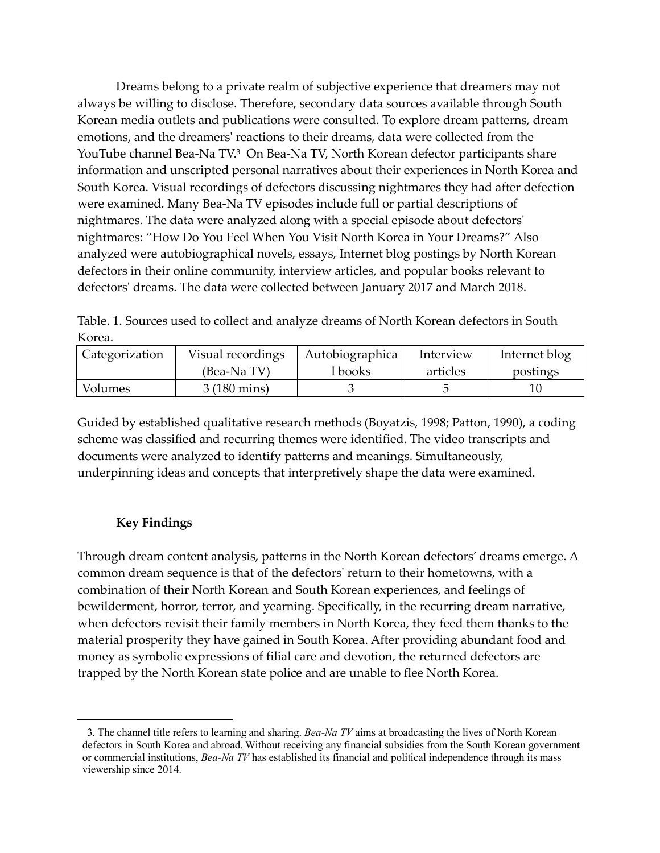Dreams belong to a private realm of subjective experience that dreamers may not always be willing to disclose. Therefore, secondary data sources available through South Korean media outlets and publications were consulted. To explore dream patterns, dream emotions, and the dreamers' reactions to their dreams, data were collected from the YouTube channel Bea-Na TV.<sup>3</sup> On Bea-Na TV, North Korean defector participants share information and unscripted personal narratives about their experiences in North Korea and South Korea. Visual recordings of defectors discussing nightmares they had after defection were examined. Many Bea-Na TV episodes include full or partial descriptions of nightmares. The data were analyzed along with a special episode about defectors' nightmares: "How Do You Feel When You Visit North Korea in Your Dreams?" Also analyzed were autobiographical novels, essays, Internet blog postings by North Korean defectors in their online community, interview articles, and popular books relevant to defectors' dreams. The data were collected between January 2017 and March 2018.

Table. 1. Sources used to collect and analyze dreams of North Korean defectors in South Korea.

| Categorization | Visual recordings     | Autobiographica | Interview | Internet blog |
|----------------|-----------------------|-----------------|-----------|---------------|
|                | (Bea-Na TV)           | l books         | articles  | postings      |
| Volumes        | $3(180 \text{ mins})$ |                 |           |               |

Guided by established qualitative research methods (Boyatzis, 1998; Patton, 1990), a coding scheme was classified and recurring themes were identified. The video transcripts and documents were analyzed to identify patterns and meanings. Simultaneously, underpinning ideas and concepts that interpretively shape the data were examined.

# **Key Findings**

 $\overline{a}$ 

Through dream content analysis, patterns in the North Korean defectors' dreams emerge. A common dream sequence is that of the defectors' return to their hometowns, with a combination of their North Korean and South Korean experiences, and feelings of bewilderment, horror, terror, and yearning. Specifically, in the recurring dream narrative, when defectors revisit their family members in North Korea, they feed them thanks to the material prosperity they have gained in South Korea. After providing abundant food and money as symbolic expressions of filial care and devotion, the returned defectors are trapped by the North Korean state police and are unable to flee North Korea.

<sup>3.</sup> The channel title refers to learning and sharing. *Bea-Na TV* aims at broadcasting the lives of North Korean defectors in South Korea and abroad. Without receiving any financial subsidies from the South Korean government or commercial institutions, *Bea-Na TV* has established its financial and political independence through its mass viewership since 2014.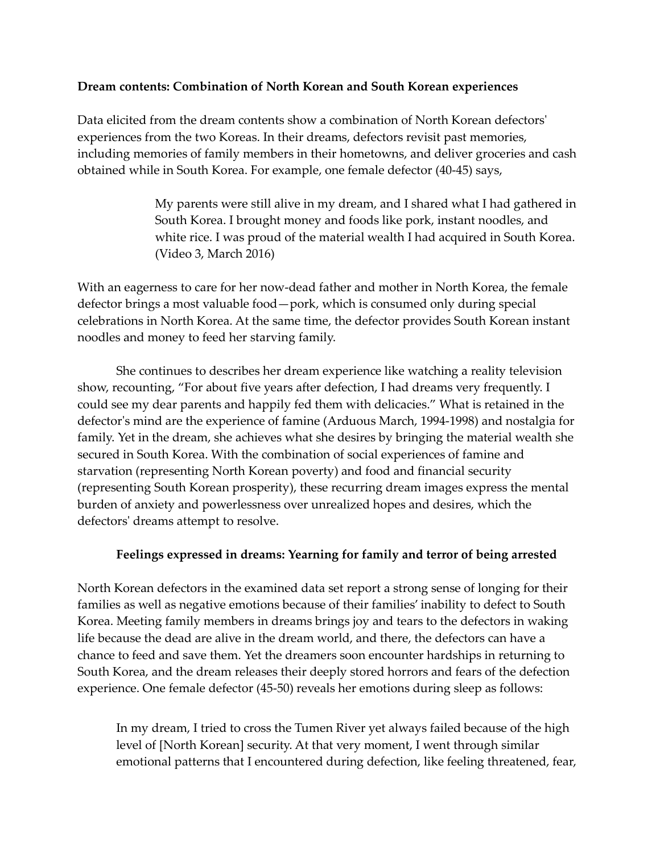# **Dream contents: Combination of North Korean and South Korean experiences**

Data elicited from the dream contents show a combination of North Korean defectors' experiences from the two Koreas. In their dreams, defectors revisit past memories, including memories of family members in their hometowns, and deliver groceries and cash obtained while in South Korea. For example, one female defector (40-45) says,

> My parents were still alive in my dream, and I shared what I had gathered in South Korea. I brought money and foods like pork, instant noodles, and white rice. I was proud of the material wealth I had acquired in South Korea. (Video 3, March 2016)

With an eagerness to care for her now-dead father and mother in North Korea, the female defector brings a most valuable food—pork, which is consumed only during special celebrations in North Korea. At the same time, the defector provides South Korean instant noodles and money to feed her starving family.

She continues to describes her dream experience like watching a reality television show, recounting, "For about five years after defection, I had dreams very frequently. I could see my dear parents and happily fed them with delicacies." What is retained in the defector's mind are the experience of famine (Arduous March, 1994-1998) and nostalgia for family. Yet in the dream, she achieves what she desires by bringing the material wealth she secured in South Korea. With the combination of social experiences of famine and starvation (representing North Korean poverty) and food and financial security (representing South Korean prosperity), these recurring dream images express the mental burden of anxiety and powerlessness over unrealized hopes and desires, which the defectors' dreams attempt to resolve.

## **Feelings expressed in dreams: Yearning for family and terror of being arrested**

North Korean defectors in the examined data set report a strong sense of longing for their families as well as negative emotions because of their families' inability to defect to South Korea. Meeting family members in dreams brings joy and tears to the defectors in waking life because the dead are alive in the dream world, and there, the defectors can have a chance to feed and save them. Yet the dreamers soon encounter hardships in returning to South Korea, and the dream releases their deeply stored horrors and fears of the defection experience. One female defector (45-50) reveals her emotions during sleep as follows:

In my dream, I tried to cross the Tumen River yet always failed because of the high level of [North Korean] security. At that very moment, I went through similar emotional patterns that I encountered during defection, like feeling threatened, fear,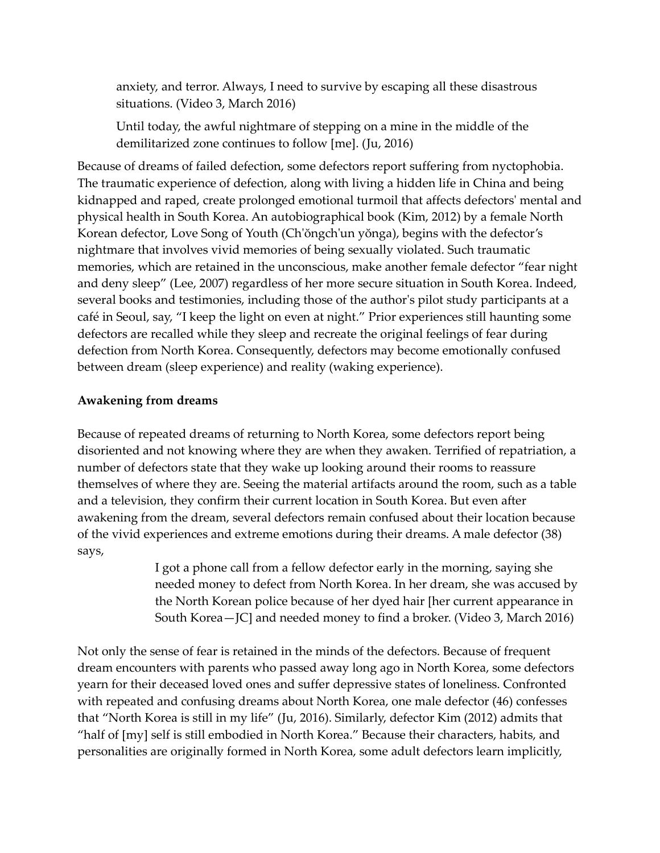anxiety, and terror. Always, I need to survive by escaping all these disastrous situations. (Video 3, March 2016)

Until today, the awful nightmare of stepping on a mine in the middle of the demilitarized zone continues to follow [me]. (Ju, 2016)

Because of dreams of failed defection, some defectors report suffering from nyctophobia. The traumatic experience of defection, along with living a hidden life in China and being kidnapped and raped, create prolonged emotional turmoil that affects defectors' mental and physical health in South Korea. An autobiographical book (Kim, 2012) by a female North Korean defector, Love Song of Youth (Ch'ŏngch'un yŏnga), begins with the defector's nightmare that involves vivid memories of being sexually violated. Such traumatic memories, which are retained in the unconscious, make another female defector "fear night and deny sleep" (Lee, 2007) regardless of her more secure situation in South Korea. Indeed, several books and testimonies, including those of the author's pilot study participants at a café in Seoul, say, "I keep the light on even at night." Prior experiences still haunting some defectors are recalled while they sleep and recreate the original feelings of fear during defection from North Korea. Consequently, defectors may become emotionally confused between dream (sleep experience) and reality (waking experience).

# **Awakening from dreams**

Because of repeated dreams of returning to North Korea, some defectors report being disoriented and not knowing where they are when they awaken. Terrified of repatriation, a number of defectors state that they wake up looking around their rooms to reassure themselves of where they are. Seeing the material artifacts around the room, such as a table and a television, they confirm their current location in South Korea. But even after awakening from the dream, several defectors remain confused about their location because of the vivid experiences and extreme emotions during their dreams. A male defector (38) says,

> I got a phone call from a fellow defector early in the morning, saying she needed money to defect from North Korea. In her dream, she was accused by the North Korean police because of her dyed hair [her current appearance in South Korea—JC] and needed money to find a broker. (Video 3, March 2016)

Not only the sense of fear is retained in the minds of the defectors. Because of frequent dream encounters with parents who passed away long ago in North Korea, some defectors yearn for their deceased loved ones and suffer depressive states of loneliness. Confronted with repeated and confusing dreams about North Korea, one male defector (46) confesses that "North Korea is still in my life" (Ju, 2016). Similarly, defector Kim (2012) admits that "half of [my] self is still embodied in North Korea." Because their characters, habits, and personalities are originally formed in North Korea, some adult defectors learn implicitly,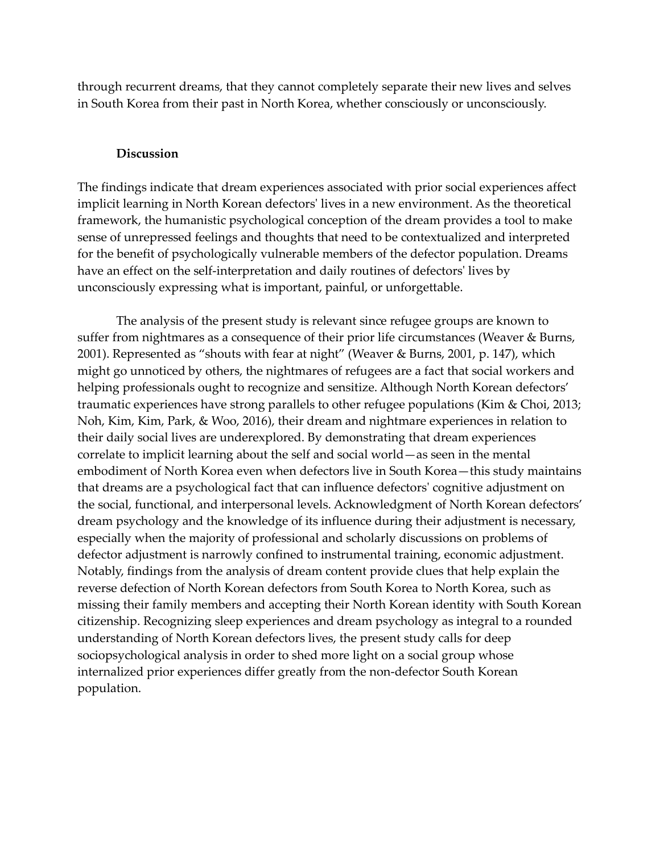through recurrent dreams, that they cannot completely separate their new lives and selves in South Korea from their past in North Korea, whether consciously or unconsciously.

#### **Discussion**

The findings indicate that dream experiences associated with prior social experiences affect implicit learning in North Korean defectors' lives in a new environment. As the theoretical framework, the humanistic psychological conception of the dream provides a tool to make sense of unrepressed feelings and thoughts that need to be contextualized and interpreted for the benefit of psychologically vulnerable members of the defector population. Dreams have an effect on the self-interpretation and daily routines of defectors' lives by unconsciously expressing what is important, painful, or unforgettable.

The analysis of the present study is relevant since refugee groups are known to suffer from nightmares as a consequence of their prior life circumstances (Weaver & Burns, 2001). Represented as "shouts with fear at night" (Weaver & Burns, 2001, p. 147), which might go unnoticed by others, the nightmares of refugees are a fact that social workers and helping professionals ought to recognize and sensitize. Although North Korean defectors' traumatic experiences have strong parallels to other refugee populations (Kim & Choi, 2013; Noh, Kim, Kim, Park, & Woo, 2016), their dream and nightmare experiences in relation to their daily social lives are underexplored. By demonstrating that dream experiences correlate to implicit learning about the self and social world—as seen in the mental embodiment of North Korea even when defectors live in South Korea—this study maintains that dreams are a psychological fact that can influence defectors' cognitive adjustment on the social, functional, and interpersonal levels. Acknowledgment of North Korean defectors' dream psychology and the knowledge of its influence during their adjustment is necessary, especially when the majority of professional and scholarly discussions on problems of defector adjustment is narrowly confined to instrumental training, economic adjustment. Notably, findings from the analysis of dream content provide clues that help explain the reverse defection of North Korean defectors from South Korea to North Korea, such as missing their family members and accepting their North Korean identity with South Korean citizenship. Recognizing sleep experiences and dream psychology as integral to a rounded understanding of North Korean defectors lives, the present study calls for deep sociopsychological analysis in order to shed more light on a social group whose internalized prior experiences differ greatly from the non-defector South Korean population.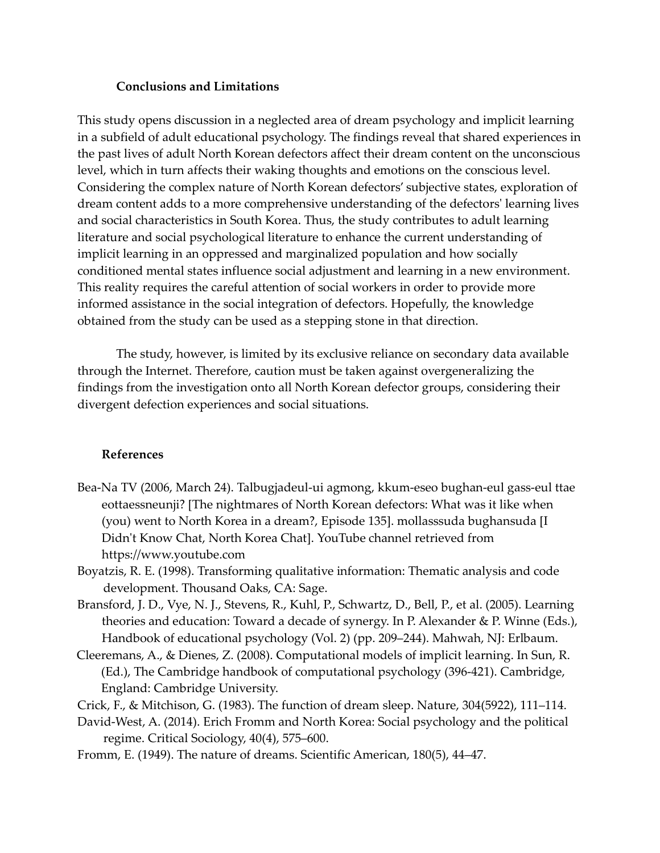## **Conclusions and Limitations**

This study opens discussion in a neglected area of dream psychology and implicit learning in a subfield of adult educational psychology. The findings reveal that shared experiences in the past lives of adult North Korean defectors affect their dream content on the unconscious level, which in turn affects their waking thoughts and emotions on the conscious level. Considering the complex nature of North Korean defectors' subjective states, exploration of dream content adds to a more comprehensive understanding of the defectors' learning lives and social characteristics in South Korea. Thus, the study contributes to adult learning literature and social psychological literature to enhance the current understanding of implicit learning in an oppressed and marginalized population and how socially conditioned mental states influence social adjustment and learning in a new environment. This reality requires the careful attention of social workers in order to provide more informed assistance in the social integration of defectors. Hopefully, the knowledge obtained from the study can be used as a stepping stone in that direction.

The study, however, is limited by its exclusive reliance on secondary data available through the Internet. Therefore, caution must be taken against overgeneralizing the findings from the investigation onto all North Korean defector groups, considering their divergent defection experiences and social situations.

## **References**

- Bea-Na TV (2006, March 24). Talbugjadeul-ui agmong, kkum-eseo bughan-eul gass-eul ttae eottaessneunji? [The nightmares of North Korean defectors: What was it like when (you) went to North Korea in a dream?, Episode 135]. mollasssuda bughansuda [I Didn't Know Chat, North Korea Chat]. YouTube channel retrieved from https://www.youtube.com
- Boyatzis, R. E. (1998). Transforming qualitative information: Thematic analysis and code development. Thousand Oaks, CA: Sage.
- Bransford, J. D., Vye, N. J., Stevens, R., Kuhl, P., Schwartz, D., Bell, P., et al. (2005). Learning theories and education: Toward a decade of synergy. In P. Alexander & P. Winne (Eds.), Handbook of educational psychology (Vol. 2) (pp. 209–244). Mahwah, NJ: Erlbaum.
- Cleeremans, A., & Dienes, Z. (2008). Computational models of implicit learning. In Sun, R. (Ed.), The Cambridge handbook of computational psychology (396-421). Cambridge, England: Cambridge University.
- Crick, F., & Mitchison, G. (1983). The function of dream sleep. Nature, 304(5922), 111–114.
- David-West, A. (2014). Erich Fromm and North Korea: Social psychology and the political regime. Critical Sociology, 40(4), 575–600.
- Fromm, E. (1949). The nature of dreams. Scientific American, 180(5), 44–47.